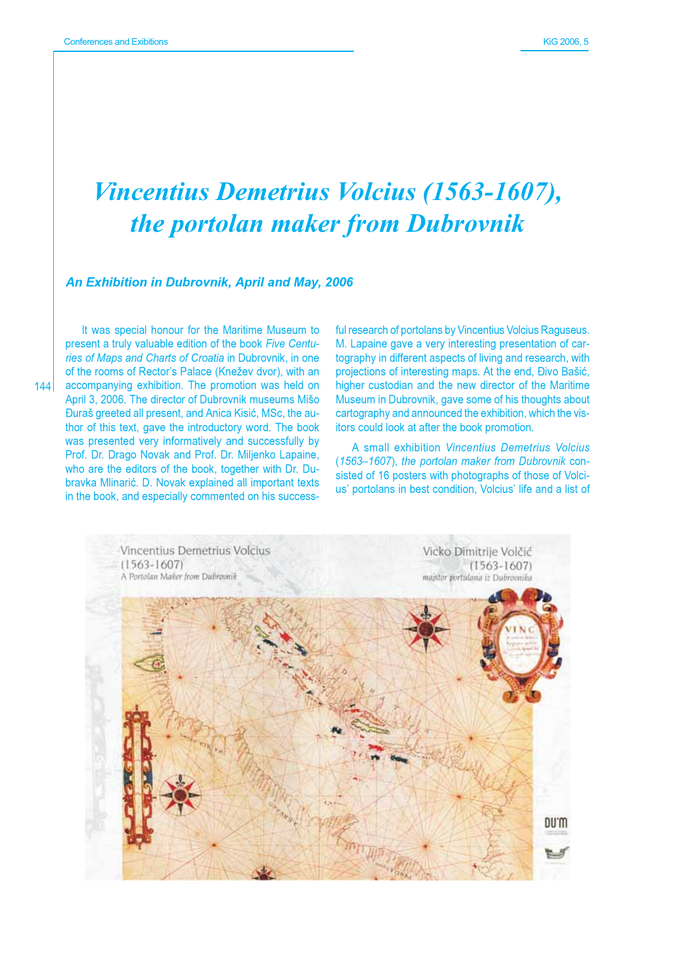## **Vincentius Demetrius Volcius (1563-1607),** the portolan maker from Dubrovnik

## An Exhibition in Dubrovnik, April and May, 2006

It was special honour for the Maritime Museum to present a truly valuable edition of the book Five Centuries of Maps and Charts of Croatia in Dubrovnik, in one of the rooms of Rector's Palace (Knežev dvor), with an 144 accompanying exhibition. The promotion was held on April 3, 2006. The director of Dubrovnik museums Mišo Đuraš greeted all present, and Anica Kisić, MSc, the author of this text, gave the introductory word. The book was presented very informatively and successfully by Prof. Dr. Drago Novak and Prof. Dr. Miljenko Lapaine, who are the editors of the book, together with Dr. Dubravka Mlinarić. D. Novak explained all important texts in the book, and especially commented on his successful research of portolans by Vincentius Volcius Raguseus. M. Lapaine gave a very interesting presentation of cartography in different aspects of living and research, with projections of interesting maps. At the end, Đivo Bašić, higher custodian and the new director of the Maritime Museum in Dubrovnik, gave some of his thoughts about cartography and announced the exhibition, which the visitors could look at after the book promotion.

A small exhibition Vincentius Demetrius Volcius (1563-1607), the portolan maker from Dubrovnik consisted of 16 posters with photographs of those of Volcius' portolans in best condition, Volcius' life and a list of

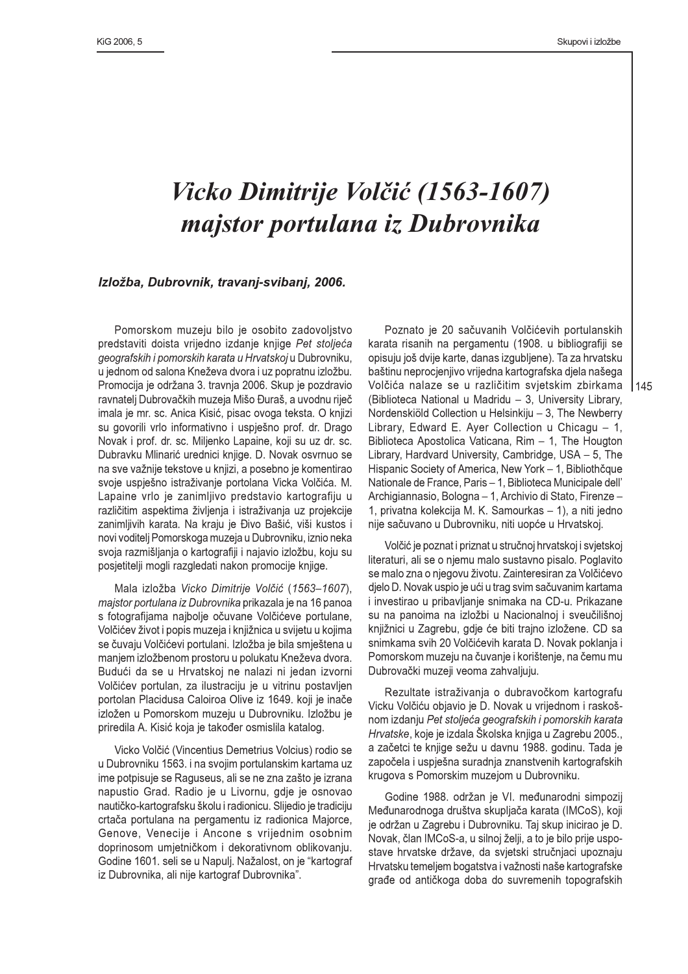$145$ 

## Vicko Dimitrije Volčić (1563-1607) majstor portulana iz Dubrovnika

## Izložba, Dubrovnik, travanj-svibanj, 2006.

Pomorskom muzeju bilo je osobito zadovoljstvo predstaviti doista vrijedno izdanje knjige Pet stoljeća geografskih i pomorskih karata u Hrvatskoj u Dubrovniku, u jednom od salona Kneževa dvora i uz popratnu izložbu. Promocija je održana 3. travnja 2006. Skup je pozdravio ravnatelj Dubrovačkih muzeja Mišo Đuraš, a uvodnu riječ imala je mr. sc. Anica Kisić, pisac ovoga teksta. O knjizi su govorili vrlo informativno i uspiešno prof. dr. Drago Novak i prof. dr. sc. Miljenko Lapaine, koji su uz dr. sc. Dubravku Mlinarić urednici knjige. D. Novak osvrnuo se na sve važnije tekstove u knjizi, a posebno je komentirao svoje uspješno istraživanje portolana Vicka Volčića. M. Lapaine vrlo je zanimljivo predstavio kartografiju u različitim aspektima življenja i istraživanja uz projekcije zanimljivih karata. Na kraju je Đivo Bašić, viši kustos i novi voditelj Pomorskoga muzeja u Dubrovniku, iznio neka svoja razmišljanja o kartografiji i najavio izložbu, koju su posjetitelji mogli razgledati nakon promocije knjige.

Mala izložba Vicko Dimitrije Volčić (1563-1607), maistor portulana iz Dubrovnika prikazala je na 16 panoa s fotografijama najbolje očuvane Volčićeve portulane. Volčićev život i popis muzeja i knjižnica u svijetu u kojima se čuvaju Volčićevi portulani. Izložba je bila smještena u manjem izložbenom prostoru u polukatu Kneževa dvora. Budući da se u Hrvatskoj ne nalazi ni jedan izvorni Volčićev portulan, za ilustraciju je u vitrinu postavljen portolan Placidusa Caloiroa Olive iz 1649. koji je inače izložen u Pomorskom muzeju u Dubrovniku. Izložbu je priredila A. Kisić koja je također osmislila katalog.

Vicko Volčić (Vincentius Demetrius Volcius) rodio se u Dubrovniku 1563. i na svojim portulanskim kartama uz ime potpisuje se Raguseus, ali se ne zna zašto je izrana napustio Grad. Radio je u Livornu, gdje je osnovao nautičko-kartografsku školu i radionicu. Slijedio je tradiciju crtača portulana na pergamentu iz radionica Majorce, Genove, Venecije i Ancone s vrijednim osobnim doprinosom umjetničkom i dekorativnom oblikovanju. Godine 1601. seli se u Napulj. Nažalost, on je "kartograf iz Dubrovnika, ali nije kartograf Dubrovnika".

Poznato je 20 sačuvanih Volčićevih portulanskih karata risanih na pergamentu (1908. u bibliografiji se opisuju još dvije karte, danas izgubljene). Ta za hrvatsku baštinu neprocjenjivo vrijedna kartografska djela našega Volčića nalaze se u različitim svjetskim zbirkama (Biblioteca National u Madridu - 3, University Library, Nordenskiöld Collection u Helsinkiju - 3, The Newberry Library, Edward E. Ayer Collection u Chicagu - 1, Biblioteca Apostolica Vaticana, Rim - 1, The Hougton Library, Hardvard University, Cambridge, USA - 5, The Hispanic Society of America, New York - 1, Bibliothčque Nationale de France, Paris - 1, Biblioteca Municipale dell' Archigiannasio, Bologna - 1, Archivio di Stato, Firenze -1, privatna kolekcija M. K. Samourkas - 1), a niti jedno nije sačuvano u Dubrovniku, niti uopće u Hrvatskoj.

Volčić je poznat i priznat u stručnoj hrvatskoj i svjetskoj literaturi, ali se o njemu malo sustavno pisalo. Poglavito se malo zna o njegovu životu. Zainteresiran za Volčićevo djelo D. Novak uspio je ući u trag svim sačuvanim kartama i investirao u pribavljanje snimaka na CD-u. Prikazane su na panoima na izložbi u Nacionalnoj i sveučilišnoj knjižnici u Zagrebu, gdje će biti trajno izložene. CD sa snimkama svih 20 Volčićevih karata D. Novak poklanja i Pomorskom muzeju na čuvanje i korištenje, na čemu mu Dubrovački muzeji veoma zahvaljuju.

Rezultate istraživanja o dubravočkom kartografu Vicku Volčiću objavio je D. Novak u vrijednom i raskošnom izdanju Pet stoljeća geografskih i pomorskih karata Hrvatske, koje je izdala Školska knjiga u Zagrebu 2005., a začetci te knjige sežu u davnu 1988. godinu. Tada je započela i uspješna suradnja znanstvenih kartografskih krugova s Pomorskim muzejom u Dubrovniku.

Godine 1988. održan je VI. međunarodni simpozij Međunarodnoga društva skupljača karata (IMCoS), koji je održan u Zagrebu i Dubrovniku. Taj skup inicirao je D. Novak, član IMCoS-a, u silnoj želji, a to je bilo prije uspostave hrvatske države, da svjetski stručnjaci upoznaju Hrvatsku temeljem bogatstva i važnosti naše kartografske građe od antičkoga doba do suvremenih topografskih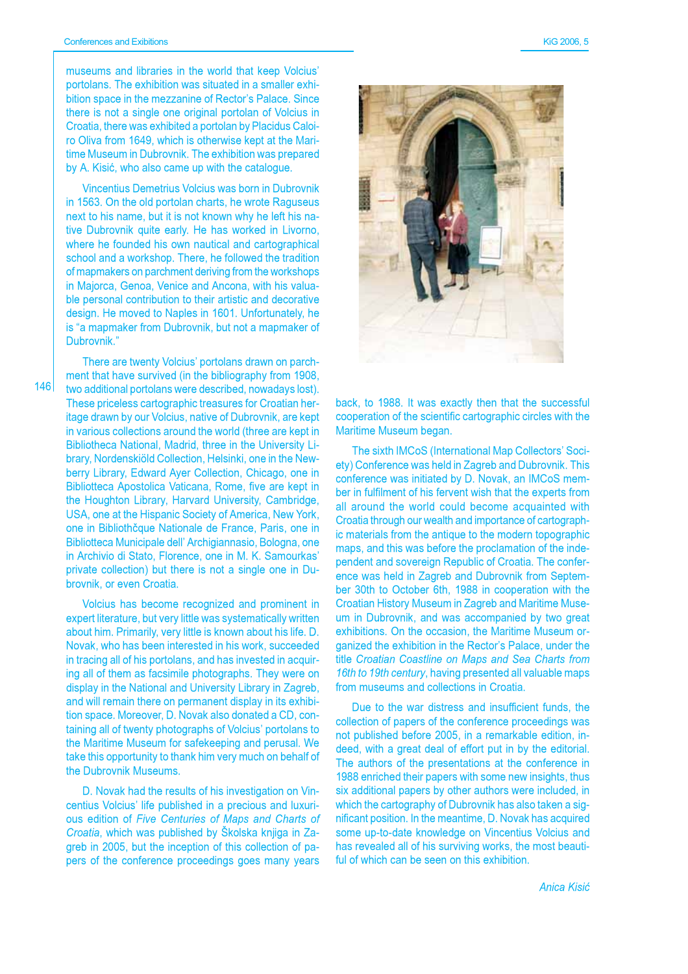museums and libraries in the world that keep Volcius' portolans. The exhibition was situated in a smaller exhibition space in the mezzanine of Rector's Palace, Since there is not a single one original portolan of Volcius in Croatia, there was exhibited a portolan by Placidus Caloiro Oliva from 1649, which is otherwise kept at the Maritime Museum in Dubrovnik. The exhibition was prepared by A. Kisić, who also came up with the catalogue.

Vincentius Demetrius Volcius was born in Dubrovnik in 1563. On the old portolan charts, he wrote Raguseus next to his name, but it is not known why he left his native Dubrovnik quite early. He has worked in Livorno. where he founded his own nautical and cartographical school and a workshop. There, he followed the tradition of mapmakers on parchment deriving from the workshops in Majorca, Genoa, Venice and Ancona, with his valuable personal contribution to their artistic and decorative design. He moved to Naples in 1601. Unfortunately, he is "a mapmaker from Dubrovnik, but not a mapmaker of Dubrovnik."

 $146$ 

There are twenty Volcius' portolans drawn on parchment that have survived (in the bibliography from 1908, two additional portolans were described, nowadays lost). These priceless cartographic treasures for Croatian heritage drawn by our Volcius, native of Dubrovnik, are kept in various collections around the world (three are kept in Bibliotheca National, Madrid, three in the University Library, Nordenskiöld Collection, Helsinki, one in the Newberry Library, Edward Ayer Collection, Chicago, one in Bibliotteca Apostolica Vaticana, Rome, five are kept in the Houghton Library, Harvard University, Cambridge, USA, one at the Hispanic Society of America, New York, one in Bibliothčque Nationale de France, Paris, one in Bibliotteca Municipale dell' Archigiannasio, Bologna, one in Archivio di Stato, Florence, one in M. K. Samourkas' private collection) but there is not a single one in Dubrovnik, or even Croatia.

Volcius has become recognized and prominent in expert literature, but very little was systematically written about him. Primarily, very little is known about his life. D. Novak, who has been interested in his work, succeeded in tracing all of his portolans, and has invested in acquiring all of them as facsimile photographs. They were on display in the National and University Library in Zagreb, and will remain there on permanent display in its exhibition space. Moreover, D. Novak also donated a CD, containing all of twenty photographs of Volcius' portolans to the Maritime Museum for safekeeping and perusal. We take this opportunity to thank him very much on behalf of the Dubrovnik Museums.

D. Novak had the results of his investigation on Vincentius Volcius' life published in a precious and luxurious edition of Five Centuries of Maps and Charts of Croatia, which was published by Školska knjiga in Zagreb in 2005, but the inception of this collection of papers of the conference proceedings goes many years



back, to 1988. It was exactly then that the successful cooperation of the scientific cartographic circles with the Maritime Museum began.

The sixth IMCoS (International Map Collectors' Society) Conference was held in Zagreb and Dubrovnik. This conference was initiated by D. Novak, an IMCoS member in fulfilment of his fervent wish that the experts from all around the world could become acquainted with Croatia through our wealth and importance of cartographic materials from the antique to the modern topographic maps, and this was before the proclamation of the independent and sovereign Republic of Croatia. The conference was held in Zagreb and Dubrovnik from September 30th to October 6th, 1988 in cooperation with the Croatian History Museum in Zagreb and Maritime Museum in Dubrovnik, and was accompanied by two great exhibitions. On the occasion, the Maritime Museum organized the exhibition in the Rector's Palace, under the title Croatian Coastline on Maps and Sea Charts from 16th to 19th century, having presented all valuable maps from museums and collections in Croatia.

Due to the war distress and insufficient funds, the collection of papers of the conference proceedings was not published before 2005, in a remarkable edition, indeed, with a great deal of effort put in by the editorial. The authors of the presentations at the conference in 1988 enriched their papers with some new insights, thus six additional papers by other authors were included, in which the cartography of Dubrovnik has also taken a significant position. In the meantime, D. Novak has acquired some up-to-date knowledge on Vincentius Volcius and has revealed all of his surviving works, the most beautiful of which can be seen on this exhibition.